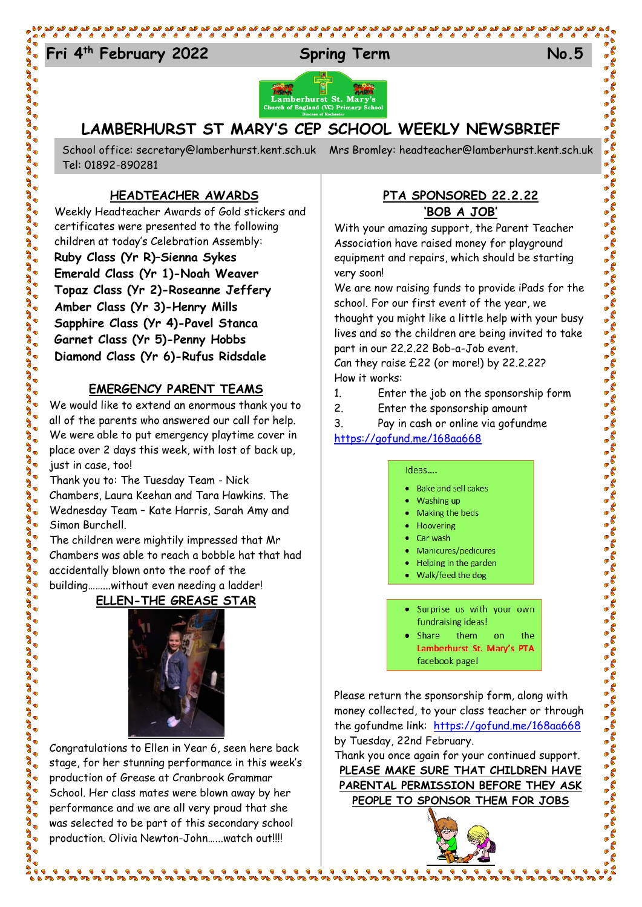# Fri 4<sup>th</sup> February 2022 Spring Term No.5





## **LAMBERHURST ST MARY'S CEP SCHOOL WEEKLY NEWSBRIEF**

School office: [secretary@lamberhurst.kent.sch.uk](mailto:secretary@lamberhurst.kent.sch.uk) Mrs Bromley: headteacher@lamberhurst.kent.sch.uk Tel: 01892-890281

#### **HEADTEACHER AWARDS**

Weekly Headteacher Awards of Gold stickers and certificates were presented to the following children at today's Celebration Assembly: **Ruby Class (Yr R)–Sienna Sykes Emerald Class (Yr 1)-Noah Weaver Topaz Class (Yr 2)-Roseanne Jeffery Amber Class (Yr 3)-Henry Mills Sapphire Class (Yr 4)-Pavel Stanca Garnet Class (Yr 5)-Penny Hobbs Diamond Class (Yr 6)-Rufus Ridsdale**

### **EMERGENCY PARENT TEAMS**

We would like to extend an enormous thank you to all of the parents who answered our call for help. We were able to put emergency playtime cover in place over 2 days this week, with lost of back up, just in case, too!

Thank you to: The Tuesday Team - Nick Chambers, Laura Keehan and Tara Hawkins. The Wednesday Team – Kate Harris, Sarah Amy and Simon Burchell.

The children were mightily impressed that Mr Chambers was able to reach a bobble hat that had accidentally blown onto the roof of the building……...without even needing a ladder!

#### **ELLEN-THE GREASE STAR**



Congratulations to Ellen in Year 6, seen here back stage, for her stunning performance in this week's production of Grease at Cranbrook Grammar School. Her class mates were blown away by her performance and we are all very proud that she was selected to be part of this secondary school production. Olivia Newton-John…...watch out!!!!

### **PTA SPONSORED 22.2.22 'BOB A JOB'**

With your amazing support, the Parent Teacher Association have raised money for playground equipment and repairs, which should be starting very soon!

We are now raising funds to provide iPads for the school. For our first event of the year, we thought you might like a little help with your busy lives and so the children are being invited to take part in our 22.2.22 Bob-a-Job event.

Can they raise £22 (or more!) by 22.2.22? How it works:

- 1. Enter the job on the sponsorship form
- 2. Enter the sponsorship amount

3. Pay in cash or online via gofundme <https://gofund.me/168aa668>

#### Ideas....

- Bake and sell cakes
- Washing up
- Making the beds
- Hoovering
- Car wash
- Manicures/pedicures
- Helping in the garden
- Walk/feed the dog
- Surprise us with your own fundraising ideas!
- Share them the  $on$ Lamberhurst St. Mary's PTA facebook page!

Please return the sponsorship form, along with money collected, to your class teacher or through the gofundme link: <https://gofund.me/168aa668> by Tuesday, 22nd February.

Thank you once again for your continued support. **PLEASE MAKE SURE THAT CHILDREN HAVE PARENTAL PERMISSION BEFORE THEY ASK PEOPLE TO SPONSOR THEM FOR JOBS**





ו פרט פרט של פרט הפקוד המשפט בין הים המשפט המשפט המשפט המשפט המשפט המשפט המשפט המשפט המשפט המשפט המשפט המשפט ה<br>ברומנים המשפט המשפט המשפט המשפט המשפט המשפט המשפט המשפט המשפט המשפט המשפט המשפט המשפט המשפט המשפט המשפט המשפט